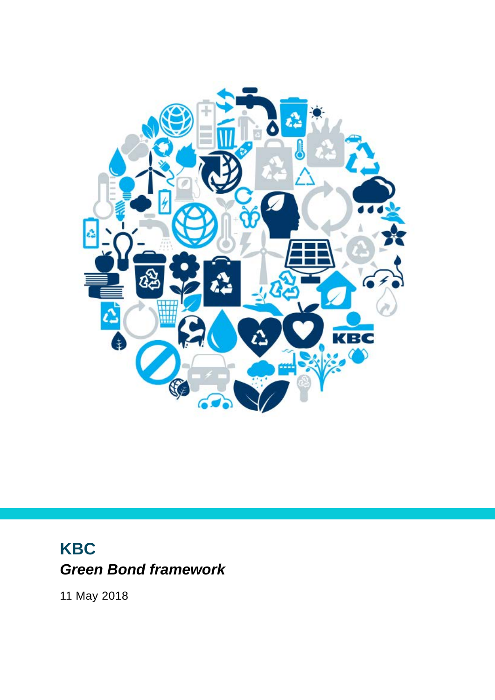

# **KBC** *Green Bond framework*

11 May 2018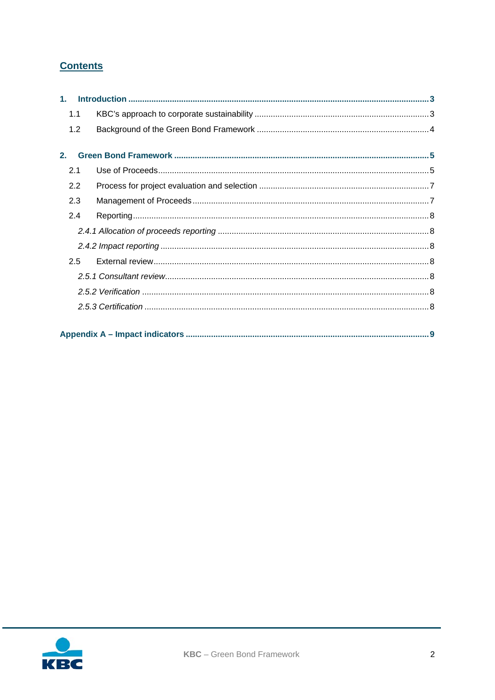# **Contents**

|     | 1.1 |  |  |  |  |
|-----|-----|--|--|--|--|
|     | 1.2 |  |  |  |  |
| 2.  |     |  |  |  |  |
|     |     |  |  |  |  |
| 2.1 |     |  |  |  |  |
|     | 2.2 |  |  |  |  |
|     | 2.3 |  |  |  |  |
|     | 2.4 |  |  |  |  |
|     |     |  |  |  |  |
|     |     |  |  |  |  |
|     | 2.5 |  |  |  |  |
|     |     |  |  |  |  |
|     |     |  |  |  |  |
|     |     |  |  |  |  |
|     |     |  |  |  |  |

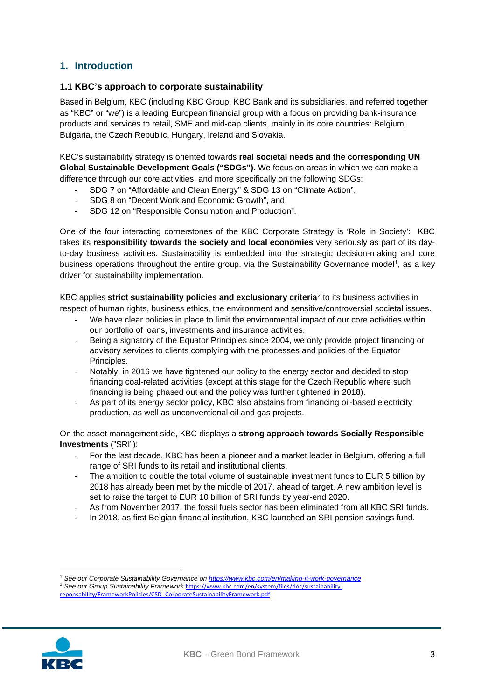# <span id="page-2-0"></span>**1. Introduction**

#### <span id="page-2-1"></span>**1.1 KBC's approach to corporate sustainability**

Based in Belgium, KBC (including KBC Group, KBC Bank and its subsidiaries, and referred together as "KBC" or "we") is a leading European financial group with a focus on providing bank-insurance products and services to retail, SME and mid-cap clients, mainly in its core countries: Belgium, Bulgaria, the Czech Republic, Hungary, Ireland and Slovakia.

KBC's sustainability strategy is oriented towards **real societal needs and the corresponding UN Global Sustainable Development Goals ("SDGs").** We focus on areas in which we can make a difference through our core activities, and more specifically on the following SDGs:

- SDG 7 on "Affordable and Clean Energy" & SDG 13 on "Climate Action",
- SDG 8 on "Decent Work and Economic Growth", and
- SDG 12 on "Responsible Consumption and Production".

One of the four interacting cornerstones of the KBC Corporate Strategy is 'Role in Society': KBC takes its **responsibility towards the society and local economies** very seriously as part of its dayto-day business activities. Sustainability is embedded into the strategic decision-making and core business operations throughout the entire group, via the Sustainability Governance model<sup>1</sup>, as a key driver for sustainability implementation.

KBC applies **strict sustainability policies and exclusionary criteria**[2](#page-2-3) to its business activities in respect of human rights, business ethics, the environment and sensitive/controversial societal issues.

- We have clear policies in place to limit the environmental impact of our core activities within our portfolio of loans, investments and insurance activities.
- Being a signatory of the Equator Principles since 2004, we only provide project financing or advisory services to clients complying with the processes and policies of the Equator Principles.
- Notably, in 2016 we have tightened our policy to the energy sector and decided to stop financing coal-related activities (except at this stage for the Czech Republic where such financing is being phased out and the policy was further tightened in 2018).
- As part of its energy sector policy, KBC also abstains from financing oil-based electricity production, as well as unconventional oil and gas projects.

On the asset management side, KBC displays a **strong approach towards Socially Responsible Investments** ("SRI"):

- For the last decade, KBC has been a pioneer and a market leader in Belgium, offering a full range of SRI funds to its retail and institutional clients.
- The ambition to double the total volume of sustainable investment funds to EUR 5 billion by 2018 has already been met by the middle of 2017, ahead of target. A new ambition level is set to raise the target to EUR 10 billion of SRI funds by year-end 2020.
- As from November 2017, the fossil fuels sector has been eliminated from all KBC SRI funds.
- In 2018, as first Belgian financial institution, KBC launched an SRI pension savings fund.

<span id="page-2-3"></span><span id="page-2-2"></span><sup>1</sup> *See our Corporate Sustainability Governance on <https://www.kbc.com/en/making-it-work-governance>* <sup>2</sup> See our Group Sustainability Framework [https://www.kbc.com/en/system/files/doc/sustainability-](https://www.kbc.com/en/system/files/doc/sustainability-reponsability/FrameworkPolicies/CSD_CorporateSustainabilityFramework.pdf)





**.**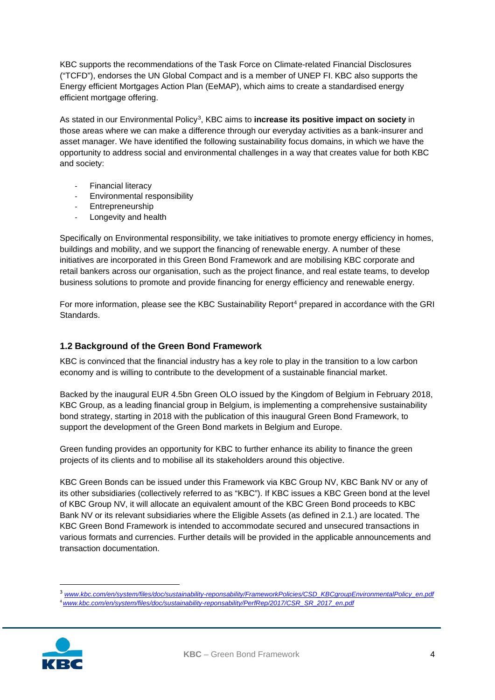KBC supports the recommendations of the Task Force on Climate-related Financial Disclosures ("TCFD"), endorses the UN Global Compact and is a member of UNEP FI. KBC also supports the Energy efficient Mortgages Action Plan (EeMAP), which aims to create a standardised energy efficient mortgage offering.

As stated in our Environmental Policy[3,](#page-3-1) KBC aims to **increase its positive impact on society** in those areas where we can make a difference through our everyday activities as a bank-insurer and asset manager. We have identified the following sustainability focus domains, in which we have the opportunity to address social and environmental challenges in a way that creates value for both KBC and society:

- Financial literacy
- Environmental responsibility
- Entrepreneurship
- Longevity and health

Specifically on Environmental responsibility, we take initiatives to promote energy efficiency in homes, buildings and mobility, and we support the financing of renewable energy. A number of these initiatives are incorporated in this Green Bond Framework and are mobilising KBC corporate and retail bankers across our organisation, such as the project finance, and real estate teams, to develop business solutions to promote and provide financing for energy efficiency and renewable energy.

For more information, please see the KBC Sustainability Report<sup>[4](#page-3-2)</sup> prepared in accordance with the GRI Standards.

#### <span id="page-3-0"></span>**1.2 Background of the Green Bond Framework**

KBC is convinced that the financial industry has a key role to play in the transition to a low carbon economy and is willing to contribute to the development of a sustainable financial market.

Backed by the inaugural EUR 4.5bn Green OLO issued by the Kingdom of Belgium in February 2018, KBC Group, as a leading financial group in Belgium, is implementing a comprehensive sustainability bond strategy, starting in 2018 with the publication of this inaugural Green Bond Framework, to support the development of the Green Bond markets in Belgium and Europe.

Green funding provides an opportunity for KBC to further enhance its ability to finance the green projects of its clients and to mobilise all its stakeholders around this objective.

KBC Green Bonds can be issued under this Framework via KBC Group NV, KBC Bank NV or any of its other subsidiaries (collectively referred to as "KBC"). If KBC issues a KBC Green bond at the level of KBC Group NV, it will allocate an equivalent amount of the KBC Green Bond proceeds to KBC Bank NV or its relevant subsidiaries where the Eligible Assets (as defined in 2.1.) are located. The KBC Green Bond Framework is intended to accommodate secured and unsecured transactions in various formats and currencies. Further details will be provided in the applicable announcements and transaction documentation.

<span id="page-3-2"></span><span id="page-3-1"></span> <sup>3</sup> *[www.kbc.com/en/system/files/doc/sustainability-reponsability/FrameworkPolicies/CSD\\_KBCgroupEnvironmentalPolicy\\_en.pdf](https://www.kbc.com/en/system/files/doc/sustainability-reponsability/FrameworkPolicies/CSD_KBCgroupEnvironmentalPolicy_en.pdf)* 4*[www.kbc.com/en/system/files/doc/sustainability-reponsability/PerfRep/2017/CSR\\_SR\\_2017\\_en.pdf](http://www.kbc.com/en/system/files/doc/sustainability-reponsability/PerfRep/2017/CSR_SR_2017_en.pdf)*

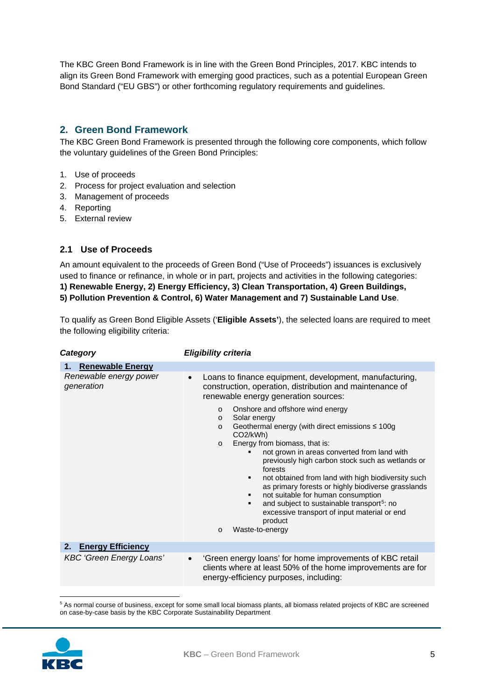The KBC Green Bond Framework is in line with the Green Bond Principles, 2017. KBC intends to align its Green Bond Framework with emerging good practices, such as a potential European Green Bond Standard ("EU GBS") or other forthcoming regulatory requirements and guidelines.

# <span id="page-4-0"></span>**2. Green Bond Framework**

The KBC Green Bond Framework is presented through the following core components, which follow the voluntary guidelines of the Green Bond Principles:

- 1. Use of proceeds
- 2. Process for project evaluation and selection
- 3. Management of proceeds
- 4. Reporting
- 5. External review

### <span id="page-4-1"></span>**2.1 Use of Proceeds**

An amount equivalent to the proceeds of Green Bond ("Use of Proceeds") issuances is exclusively used to finance or refinance, in whole or in part, projects and activities in the following categories: **1) Renewable Energy, 2) Energy Efficiency, 3) Clean Transportation, 4) Green Buildings, 5) Pollution Prevention & Control, 6) Water Management and 7) Sustainable Land Use**.

To qualify as Green Bond Eligible Assets ('**Eligible Assets'**), the selected loans are required to meet the following eligibility criteria:

*Category Eligibility criteria*

| <b>Renewable Energy</b><br>1.        |                                                                                                                                                                                                                                                                                                                                                                                                                                                                                                                                                                                                                                                                                                                                                             |  |  |  |  |
|--------------------------------------|-------------------------------------------------------------------------------------------------------------------------------------------------------------------------------------------------------------------------------------------------------------------------------------------------------------------------------------------------------------------------------------------------------------------------------------------------------------------------------------------------------------------------------------------------------------------------------------------------------------------------------------------------------------------------------------------------------------------------------------------------------------|--|--|--|--|
| Renewable energy power<br>generation | Loans to finance equipment, development, manufacturing,<br>construction, operation, distribution and maintenance of<br>renewable energy generation sources:<br>Onshore and offshore wind energy<br>$\Omega$<br>Solar energy<br>$\Omega$<br>Geothermal energy (with direct emissions $\leq 100$ g<br>$\circ$<br>CO <sub>2</sub> /kWh)<br>Energy from biomass, that is:<br>$\Omega$<br>not grown in areas converted from land with<br>previously high carbon stock such as wetlands or<br>forests<br>not obtained from land with high biodiversity such<br>as primary forests or highly biodiverse grasslands<br>not suitable for human consumption<br>and subject to sustainable transport <sup>5</sup> : no<br>excessive transport of input material or end |  |  |  |  |
|                                      | product<br>Waste-to-energy<br>$\circ$                                                                                                                                                                                                                                                                                                                                                                                                                                                                                                                                                                                                                                                                                                                       |  |  |  |  |
| <b>Energy Efficiency</b><br>2.       |                                                                                                                                                                                                                                                                                                                                                                                                                                                                                                                                                                                                                                                                                                                                                             |  |  |  |  |
| <b>KBC 'Green Energy Loans'</b>      | 'Green energy loans' for home improvements of KBC retail<br>clients where at least 50% of the home improvements are for<br>energy-efficiency purposes, including:                                                                                                                                                                                                                                                                                                                                                                                                                                                                                                                                                                                           |  |  |  |  |

**.** <sup>5</sup> As normal course of business, except for some small local biomass plants, all biomass related projects of KBC are screened on case-by-case basis by the KBC Corporate Sustainability Department

<span id="page-4-2"></span>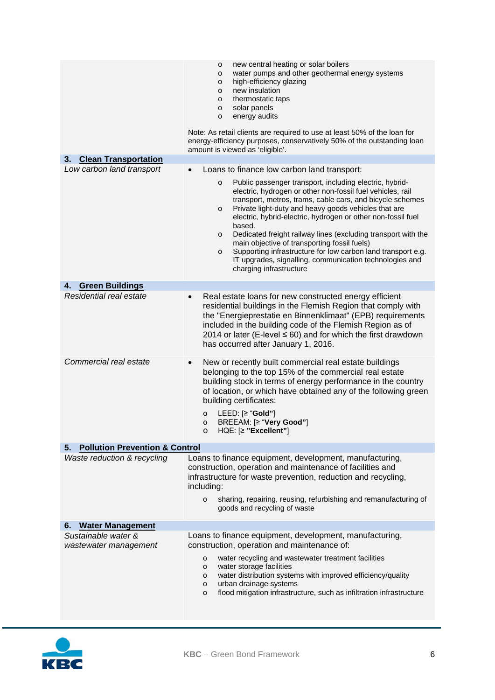|                                                 | new central heating or solar boilers<br>o<br>water pumps and other geothermal energy systems<br>o<br>high-efficiency glazing<br>o<br>new insulation<br>o<br>thermostatic taps<br>o<br>solar panels<br>o<br>energy audits<br>o<br>Note: As retail clients are required to use at least 50% of the loan for<br>energy-efficiency purposes, conservatively 50% of the outstanding loan<br>amount is viewed as 'eligible'.                                                                                                                                                                                          |
|-------------------------------------------------|-----------------------------------------------------------------------------------------------------------------------------------------------------------------------------------------------------------------------------------------------------------------------------------------------------------------------------------------------------------------------------------------------------------------------------------------------------------------------------------------------------------------------------------------------------------------------------------------------------------------|
| <b>Clean Transportation</b><br>3.               |                                                                                                                                                                                                                                                                                                                                                                                                                                                                                                                                                                                                                 |
| Low carbon land transport                       | Loans to finance low carbon land transport:                                                                                                                                                                                                                                                                                                                                                                                                                                                                                                                                                                     |
|                                                 | Public passenger transport, including electric, hybrid-<br>o<br>electric, hydrogen or other non-fossil fuel vehicles, rail<br>transport, metros, trams, cable cars, and bicycle schemes<br>Private light-duty and heavy goods vehicles that are<br>o<br>electric, hybrid-electric, hydrogen or other non-fossil fuel<br>based.<br>Dedicated freight railway lines (excluding transport with the<br>o<br>main objective of transporting fossil fuels)<br>Supporting infrastructure for low carbon land transport e.g.<br>o<br>IT upgrades, signalling, communication technologies and<br>charging infrastructure |
| <b>Green Buildings</b><br>4.                    |                                                                                                                                                                                                                                                                                                                                                                                                                                                                                                                                                                                                                 |
| Residential real estate                         | Real estate loans for new constructed energy efficient<br>$\bullet$<br>residential buildings in the Flemish Region that comply with<br>the "Energieprestatie en Binnenklimaat" (EPB) requirements<br>included in the building code of the Flemish Region as of<br>2014 or later (E-level $\leq 60$ ) and for which the first drawdown<br>has occurred after January 1, 2016.                                                                                                                                                                                                                                    |
| Commercial real estate                          | New or recently built commercial real estate buildings<br>$\bullet$<br>belonging to the top 15% of the commercial real estate<br>building stock in terms of energy performance in the country<br>of location, or which have obtained any of the following green<br>building certificates:<br>LEED: $[≥ "Gold"]$<br>$\circ$<br>BREEAM: [≥ "Very Good"]<br>$\circ$<br>HQE: [≥ " <b>Excellent</b> "]                                                                                                                                                                                                               |
| <b>Pollution Prevention &amp; Control</b><br>5. |                                                                                                                                                                                                                                                                                                                                                                                                                                                                                                                                                                                                                 |
| Waste reduction & recycling                     | Loans to finance equipment, development, manufacturing,<br>construction, operation and maintenance of facilities and<br>infrastructure for waste prevention, reduction and recycling,<br>including:<br>sharing, repairing, reusing, refurbishing and remanufacturing of<br>0<br>goods and recycling of waste                                                                                                                                                                                                                                                                                                    |
| <b>Water Management</b><br>6.                   |                                                                                                                                                                                                                                                                                                                                                                                                                                                                                                                                                                                                                 |
| Sustainable water &                             | Loans to finance equipment, development, manufacturing,                                                                                                                                                                                                                                                                                                                                                                                                                                                                                                                                                         |
| wastewater management                           | construction, operation and maintenance of:<br>water recycling and wastewater treatment facilities<br>о<br>water storage facilities<br>о<br>water distribution systems with improved efficiency/quality<br>o<br>urban drainage systems<br>o<br>flood mitigation infrastructure, such as infiltration infrastructure<br>o                                                                                                                                                                                                                                                                                        |

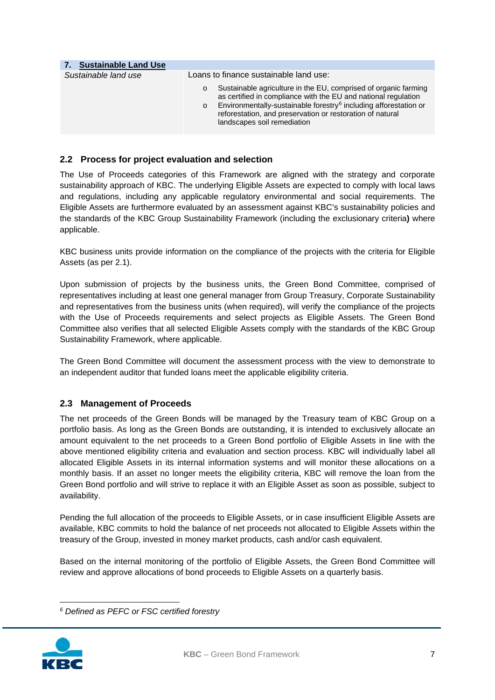| 7. Sustainable Land Use |                                                                                                                                                                                                                                                                                                                           |  |  |  |  |  |
|-------------------------|---------------------------------------------------------------------------------------------------------------------------------------------------------------------------------------------------------------------------------------------------------------------------------------------------------------------------|--|--|--|--|--|
| Sustainable land use    | Loans to finance sustainable land use:                                                                                                                                                                                                                                                                                    |  |  |  |  |  |
|                         | Sustainable agriculture in the EU, comprised of organic farming<br>as certified in compliance with the EU and national regulation<br>Environmentally-sustainable forestry <sup>6</sup> including afforestation or<br>$\Omega$<br>reforestation, and preservation or restoration of natural<br>landscapes soil remediation |  |  |  |  |  |

# <span id="page-6-0"></span>**2.2 Process for project evaluation and selection**

The Use of Proceeds categories of this Framework are aligned with the strategy and corporate sustainability approach of KBC. The underlying Eligible Assets are expected to comply with local laws and regulations, including any applicable regulatory environmental and social requirements. The Eligible Assets are furthermore evaluated by an assessment against KBC's sustainability policies and the standards of the KBC Group Sustainability Framework (including the exclusionary criteria**)** where applicable.

KBC business units provide information on the compliance of the projects with the criteria for Eligible Assets (as per 2.1).

Upon submission of projects by the business units, the Green Bond Committee, comprised of representatives including at least one general manager from Group Treasury, Corporate Sustainability and representatives from the business units (when required), will verify the compliance of the projects with the Use of Proceeds requirements and select projects as Eligible Assets. The Green Bond Committee also verifies that all selected Eligible Assets comply with the standards of the KBC Group Sustainability Framework, where applicable.

The Green Bond Committee will document the assessment process with the view to demonstrate to an independent auditor that funded loans meet the applicable eligibility criteria.

# <span id="page-6-1"></span>**2.3 Management of Proceeds**

The net proceeds of the Green Bonds will be managed by the Treasury team of KBC Group on a portfolio basis. As long as the Green Bonds are outstanding, it is intended to exclusively allocate an amount equivalent to the net proceeds to a Green Bond portfolio of Eligible Assets in line with the above mentioned eligibility criteria and evaluation and section process. KBC will individually label all allocated Eligible Assets in its internal information systems and will monitor these allocations on a monthly basis. If an asset no longer meets the eligibility criteria, KBC will remove the loan from the Green Bond portfolio and will strive to replace it with an Eligible Asset as soon as possible, subject to availability.

Pending the full allocation of the proceeds to Eligible Assets, or in case insufficient Eligible Assets are available, KBC commits to hold the balance of net proceeds not allocated to Eligible Assets within the treasury of the Group, invested in money market products, cash and/or cash equivalent.

Based on the internal monitoring of the portfolio of Eligible Assets, the Green Bond Committee will review and approve allocations of bond proceeds to Eligible Assets on a quarterly basis.

<span id="page-6-2"></span>*<sup>6</sup> Defined as PEFC or FSC certified forestry*



**.**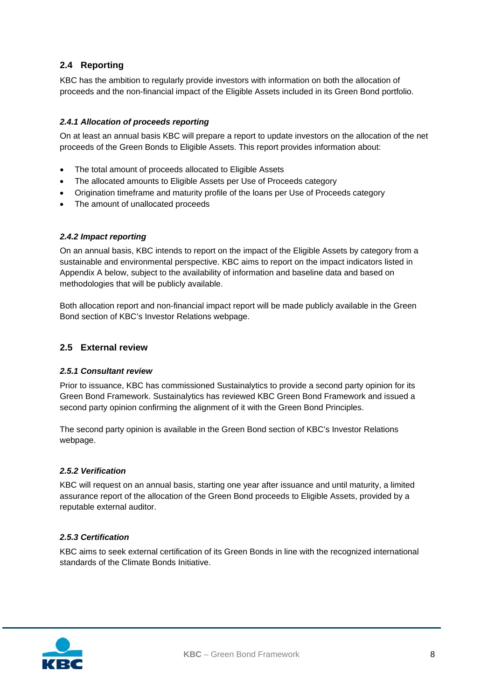# <span id="page-7-0"></span>**2.4 Reporting**

KBC has the ambition to regularly provide investors with information on both the allocation of proceeds and the non-financial impact of the Eligible Assets included in its Green Bond portfolio.

#### <span id="page-7-1"></span>*2.4.1 Allocation of proceeds reporting*

On at least an annual basis KBC will prepare a report to update investors on the allocation of the net proceeds of the Green Bonds to Eligible Assets. This report provides information about:

- The total amount of proceeds allocated to Eligible Assets
- The allocated amounts to Eligible Assets per Use of Proceeds category
- Origination timeframe and maturity profile of the loans per Use of Proceeds category
- The amount of unallocated proceeds

#### <span id="page-7-2"></span>*2.4.2 Impact reporting*

On an annual basis, KBC intends to report on the impact of the Eligible Assets by category from a sustainable and environmental perspective. KBC aims to report on the impact indicators listed in Appendix A below, subject to the availability of information and baseline data and based on methodologies that will be publicly available.

Both allocation report and non-financial impact report will be made publicly available in the Green Bond section of KBC's Investor Relations webpage.

#### <span id="page-7-3"></span>**2.5 External review**

#### <span id="page-7-4"></span>*2.5.1 Consultant review*

Prior to issuance, KBC has commissioned Sustainalytics to provide a second party opinion for its Green Bond Framework. Sustainalytics has reviewed KBC Green Bond Framework and issued a second party opinion confirming the alignment of it with the Green Bond Principles.

The second party opinion is available in the Green Bond section of KBC's Investor Relations webpage.

#### <span id="page-7-5"></span>*2.5.2 Verification*

KBC will request on an annual basis, starting one year after issuance and until maturity, a limited assurance report of the allocation of the Green Bond proceeds to Eligible Assets, provided by a reputable external auditor.

#### <span id="page-7-6"></span>*2.5.3 Certification*

KBC aims to seek external certification of its Green Bonds in line with the recognized international standards of the Climate Bonds Initiative.